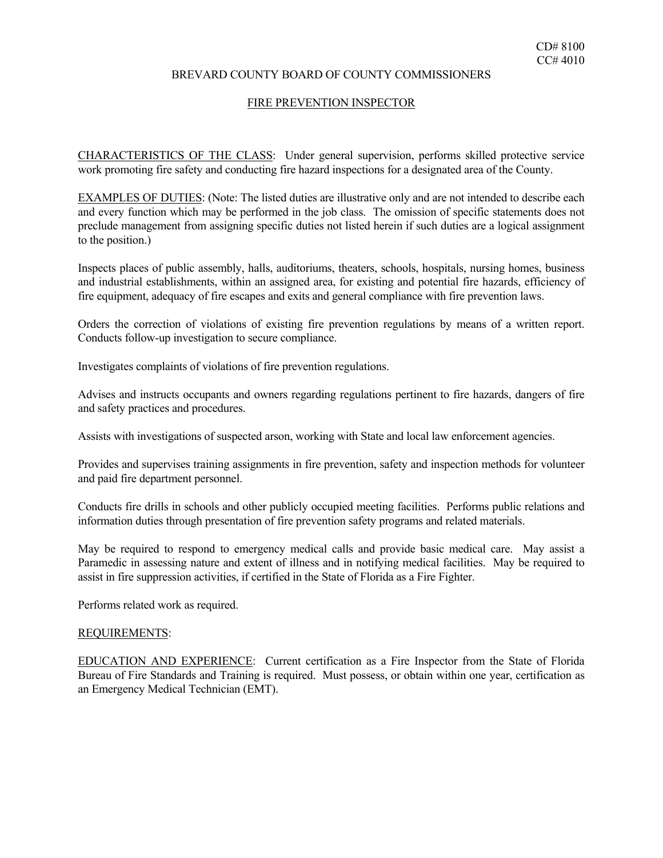# BREVARD COUNTY BOARD OF COUNTY COMMISSIONERS

#### FIRE PREVENTION INSPECTOR

work promoting fire safety and conducting fire hazard inspections for a designated area of the County. CHARACTERISTICS OF THE CLASS: Under general supervision, performs skilled protective service

EXAMPLES OF DUTIES: (Note: The listed duties are illustrative only and are not intended to describe each and every function which may be performed in the job class. The omission of specific statements does not preclude management from assigning specific duties not listed herein if such duties are a logical assignment to the position.)

Inspects places of public assembly, halls, auditoriums, theaters, schools, hospitals, nursing homes, business and industrial establishments, within an assigned area, for existing and potential fire hazards, efficiency of fire equipment, adequacy of fire escapes and exits and general compliance with fire prevention laws.

Orders the correction of violations of existing fire prevention regulations by means of a written report. Conducts follow-up investigation to secure compliance.

Investigates complaints of violations of fire prevention regulations.

Advises and instructs occupants and owners regarding regulations pertinent to fire hazards, dangers of fire and safety practices and procedures.

Assists with investigations of suspected arson, working with State and local law enforcement agencies.

Provides and supervises training assignments in fire prevention, safety and inspection methods for volunteer and paid fire department personnel.

Conducts fire drills in schools and other publicly occupied meeting facilities. Performs public relations and information duties through presentation of fire prevention safety programs and related materials.

May be required to respond to emergency medical calls and provide basic medical care. May assist a Paramedic in assessing nature and extent of illness and in notifying medical facilities. May be required to assist in fire suppression activities, if certified in the State of Florida as a Fire Fighter.

Performs related work as required.

#### REQUIREMENTS:

EDUCATION AND EXPERIENCE: Current certification as a Fire Inspector from the State of Florida Bureau of Fire Standards and Training is required. Must possess, or obtain within one year, certification as an Emergency Medical Technician (EMT).